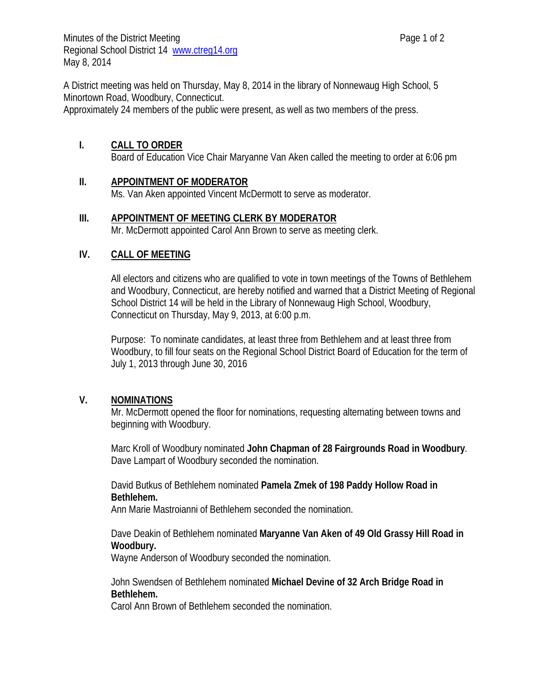A District meeting was held on Thursday, May 8, 2014 in the library of Nonnewaug High School, 5 Minortown Road, Woodbury, Connecticut.

Approximately 24 members of the public were present, as well as two members of the press.

# **I. CALL TO ORDER**

Board of Education Vice Chair Maryanne Van Aken called the meeting to order at 6:06 pm

# **II. APPOINTMENT OF MODERATOR**

Ms. Van Aken appointed Vincent McDermott to serve as moderator.

# **III. APPOINTMENT OF MEETING CLERK BY MODERATOR**

Mr. McDermott appointed Carol Ann Brown to serve as meeting clerk.

# **IV. CALL OF MEETING**

All electors and citizens who are qualified to vote in town meetings of the Towns of Bethlehem and Woodbury, Connecticut, are hereby notified and warned that a District Meeting of Regional School District 14 will be held in the Library of Nonnewaug High School, Woodbury, Connecticut on Thursday, May 9, 2013, at 6:00 p.m.

Purpose: To nominate candidates, at least three from Bethlehem and at least three from Woodbury, to fill four seats on the Regional School District Board of Education for the term of July 1, 2013 through June 30, 2016

## **V. NOMINATIONS**

Mr. McDermott opened the floor for nominations, requesting alternating between towns and beginning with Woodbury.

Marc Kroll of Woodbury nominated **John Chapman of 28 Fairgrounds Road in Woodbury**. Dave Lampart of Woodbury seconded the nomination.

David Butkus of Bethlehem nominated **Pamela Zmek of 198 Paddy Hollow Road in Bethlehem.**

Ann Marie Mastroianni of Bethlehem seconded the nomination.

Dave Deakin of Bethlehem nominated **Maryanne Van Aken of 49 Old Grassy Hill Road in Woodbury.**

Wayne Anderson of Woodbury seconded the nomination.

# John Swendsen of Bethlehem nominated **Michael Devine of 32 Arch Bridge Road in Bethlehem.**

Carol Ann Brown of Bethlehem seconded the nomination.